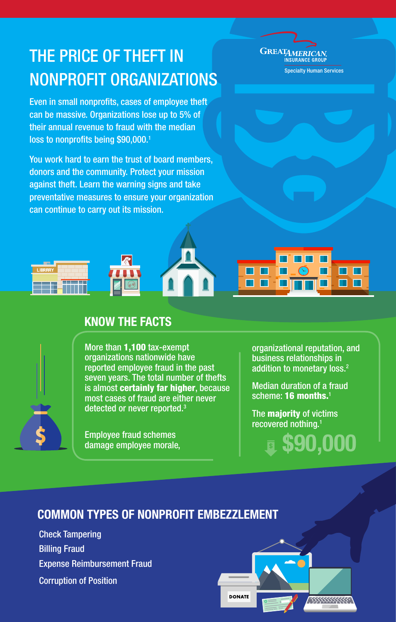# THE PRICE OF THEFT IN NONPROFIT ORGANIZATIONS

Even in small nonprofits, cases of employee theft can be massive. Organizations lose up to 5% of their annual revenue to fraud with the median loss to nonprofits being \$90,000.<sup>1</sup>

You work hard to earn the trust of board members, donors and the community. Protect your mission against theft. Learn the warning signs and take preventative measures to ensure your organization can continue to carry out its mission.

**GREATAMERICAN INSURANCE GROUP** Specialty Human Services



# KNOW THE FACTS

More than 1,100 tax-exempt organizations nationwide have reported employee fraud in the past seven years. The total number of thefts is almost certainly far higher, because most cases of fraud are either never detected or never reported.3

Employee fraud schemes damage employee morale,

organizational reputation, and business relationships in addition to monetary loss.<sup>2</sup>

Median duration of a fraud scheme: 16 months.<sup>1</sup>

The majority of victims recovered nothing.1

\$90,000

# COMMON TYPES OF NONPROFIT EMBEZZLEMENT

Check Tampering Billing Fraud Expense Reimbursement Fraud Corruption of Position